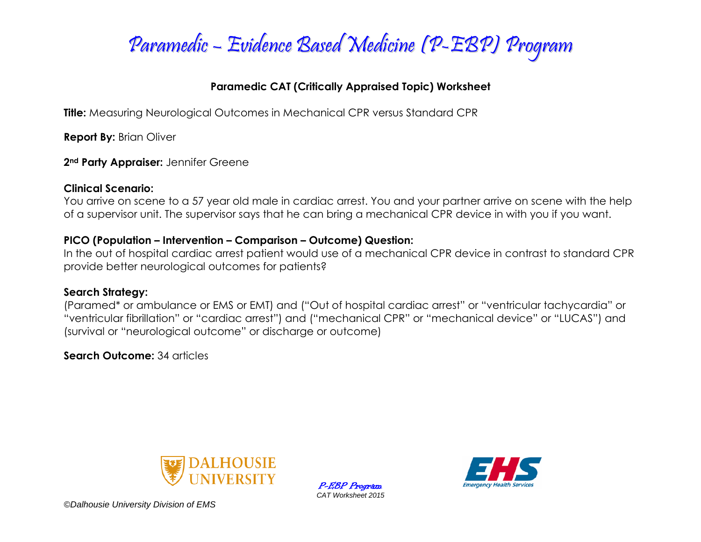

## **Paramedic CAT (Critically Appraised Topic) Worksheet**

**Title:** Measuring Neurological Outcomes in Mechanical CPR versus Standard CPR

**Report By: Brian Oliver** 

**2nd Party Appraiser:** Jennifer Greene

### **Clinical Scenario:**

You arrive on scene to a 57 year old male in cardiac arrest. You and your partner arrive on scene with the help of a supervisor unit. The supervisor says that he can bring a mechanical CPR device in with you if you want.

## **PICO (Population – Intervention – Comparison – Outcome) Question:**

In the out of hospital cardiac arrest patient would use of a mechanical CPR device in contrast to standard CPR provide better neurological outcomes for patients?

## **Search Strategy:**

(Paramed\* or ambulance or EMS or EMT) and ("Out of hospital cardiac arrest" or "ventricular tachycardia" or "ventricular fibrillation" or "cardiac arrest") and ("mechanical CPR" or "mechanical device" or "LUCAS") and (survival or "neurological outcome" or discharge or outcome)

**Search Outcome:** 34 articles



P-EBP Program *CAT Worksheet 2015*



*©Dalhousie University Division of EMS*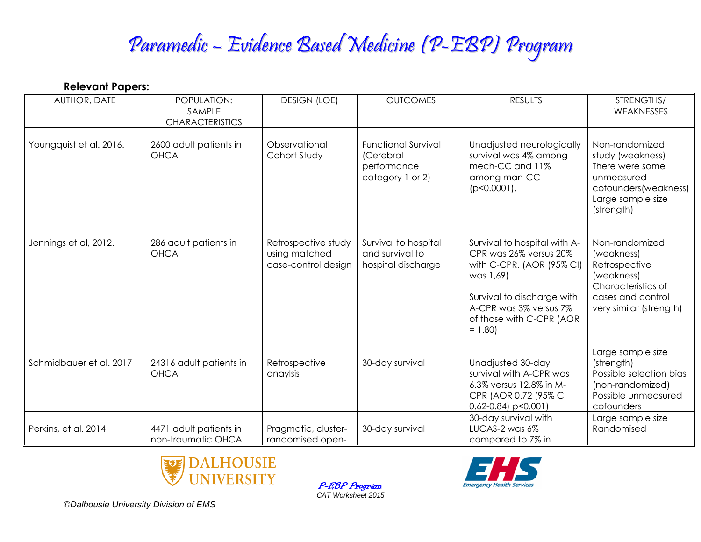## Paramedic – Evidence Based Medicine (P-EBP) Program

| <b>Relevant Papers:</b> |                                                 |                                                             |                                                                            |                                                                                                                                                                                                  |                                                                                                                                   |
|-------------------------|-------------------------------------------------|-------------------------------------------------------------|----------------------------------------------------------------------------|--------------------------------------------------------------------------------------------------------------------------------------------------------------------------------------------------|-----------------------------------------------------------------------------------------------------------------------------------|
| AUTHOR, DATE            | POPULATION:<br>SAMPLE<br><b>CHARACTERISTICS</b> | <b>DESIGN (LOE)</b>                                         | <b>OUTCOMES</b>                                                            | <b>RESULTS</b>                                                                                                                                                                                   | STRENGTHS/<br>WEAKNESSES                                                                                                          |
| Youngquist et al. 2016. | 2600 adult patients in<br><b>OHCA</b>           | Observational<br>Cohort Study                               | <b>Functional Survival</b><br>(Cerebral<br>performance<br>category 1 or 2) | Unadjusted neurologically<br>survival was 4% among<br>mech-CC and 11%<br>among man-CC<br>$(p<0.0001)$ .                                                                                          | Non-randomized<br>study (weakness)<br>There were some<br>unmeasured<br>cofounders(weakness)<br>Large sample size<br>(strength)    |
| Jennings et al, 2012.   | 286 adult patients in<br><b>OHCA</b>            | Retrospective study<br>using matched<br>case-control design | Survival to hospital<br>and survival to<br>hospital discharge              | Survival to hospital with A-<br>CPR was 26% versus 20%<br>with C-CPR. (AOR (95% CI)<br>was 1,69)<br>Survival to discharge with<br>A-CPR was 3% versus 7%<br>of those with C-CPR (AOR<br>$= 1.80$ | Non-randomized<br>(weakness)<br>Retrospective<br>(weakness)<br>Characteristics of<br>cases and control<br>very similar (strength) |
| Schmidbauer et al. 2017 | 24316 adult patients in<br><b>OHCA</b>          | Retrospective<br>anaylsis                                   | 30-day survival                                                            | Unadjusted 30-day<br>survival with A-CPR was<br>6.3% versus 12.8% in M-<br>CPR (AOR 0.72 (95% CI<br>$0.62 - 0.84$ ) p < 0.001)                                                                   | Large sample size<br>(strength)<br>Possible selection bias<br>(non-randomized)<br>Possible unmeasured<br>cofounders               |
| Perkins, et al. 2014    | 4471 adult patients in<br>non-traumatic OHCA    | Pragmatic, cluster-<br>randomised open-                     | 30-day survival                                                            | 30-day survival with<br>LUCAS-2 was 6%<br>compared to 7% in                                                                                                                                      | Large sample size<br>Randomised                                                                                                   |



P-EBP Program *CAT Worksheet 2015*



*©Dalhousie University Division of EMS*